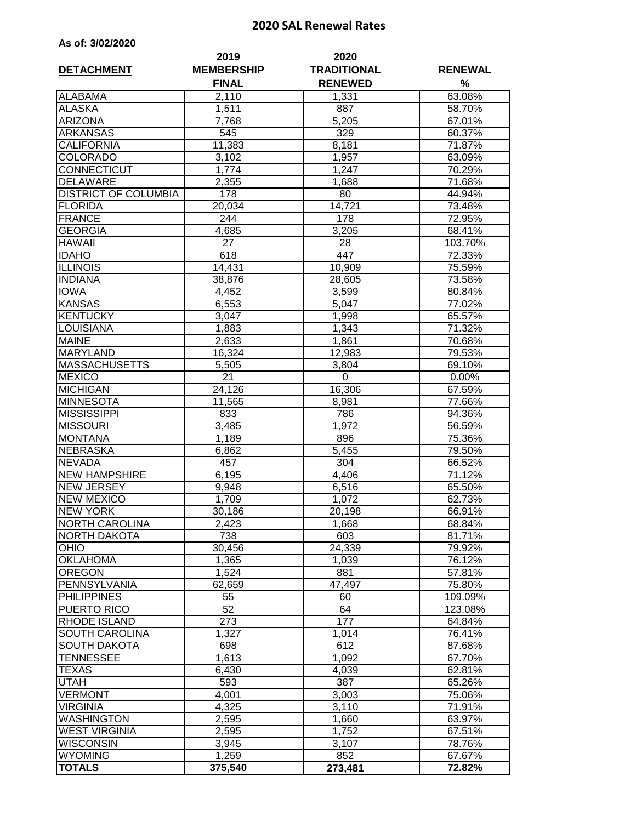## **2020 SAL Renewal Rates**

| As of: 3/02/2020 |  |  |
|------------------|--|--|
|------------------|--|--|

|                             | 2019<br><b>MEMBERSHIP</b> | 2020                                 | <b>RENEWAL</b> |  |
|-----------------------------|---------------------------|--------------------------------------|----------------|--|
| <b>DETACHMENT</b>           | <b>FINAL</b>              | <b>TRADITIONAL</b><br><b>RENEWED</b> | %              |  |
| <b>ALABAMA</b>              | 2,110                     | 1,331                                | 63.08%         |  |
| <b>ALASKA</b>               | 1,511                     | 887                                  | 58.70%         |  |
| <b>ARIZONA</b>              | 7,768                     | 5,205                                | 67.01%         |  |
| <b>ARKANSAS</b>             | 545                       | 329                                  | 60.37%         |  |
| <b>CALIFORNIA</b>           | 11,383                    | 8,181                                | 71.87%         |  |
| <b>COLORADO</b>             | 3,102                     | 1,957                                | 63.09%         |  |
| CONNECTICUT                 | 1,774                     | 1,247                                | 70.29%         |  |
| <b>DELAWARE</b>             | 2,355                     | 1,688                                | 71.68%         |  |
| <b>DISTRICT OF COLUMBIA</b> | 178                       | 80                                   | 44.94%         |  |
| <b>FLORIDA</b>              | 20,034                    | 14,721                               | 73.48%         |  |
| <b>FRANCE</b>               | 244                       | 178                                  | 72.95%         |  |
| <b>GEORGIA</b>              | 4,685                     | 3,205                                | 68.41%         |  |
| <b>HAWAII</b>               | 27                        | 28                                   | 103.70%        |  |
| <b>IDAHO</b>                | 618                       | 447                                  | 72.33%         |  |
| <b>ILLINOIS</b>             | 14,431                    | 10,909                               | 75.59%         |  |
| <b>INDIANA</b>              | 38,876                    | 28,605                               | 73.58%         |  |
| <b>IOWA</b>                 | 4,452                     | 3,599                                | 80.84%         |  |
| <b>KANSAS</b>               | 6,553                     | 5,047                                | 77.02%         |  |
| <b>KENTUCKY</b>             | 3,047                     | 1,998                                | 65.57%         |  |
| <b>LOUISIANA</b>            | 1,883                     | $\overline{1}$ ,343                  | 71.32%         |  |
| <b>MAINE</b>                | 2,633                     | 1,861                                | 70.68%         |  |
| <b>MARYLAND</b>             | 16,324                    | 12,983                               | 79.53%         |  |
| <b>MASSACHUSETTS</b>        | 5,505                     | 3,804                                | 69.10%         |  |
| <b>MEXICO</b>               | $\overline{2}1$           | 0                                    | 0.00%          |  |
| <b>MICHIGAN</b>             | 24,126                    | 16,306                               | 67.59%         |  |
| <b>MINNESOTA</b>            | 11,565                    | 8,981                                | 77.66%         |  |
| <b>MISSISSIPPI</b>          | 833                       | 786                                  | 94.36%         |  |
| <b>MISSOURI</b>             | 3,485                     | 1,972                                | 56.59%         |  |
| <b>MONTANA</b>              | 1,189                     | 896                                  | 75.36%         |  |
| <b>NEBRASKA</b>             | 6,862                     | 5,455                                | 79.50%         |  |
| <b>NEVADA</b>               | 457                       | $30\overline{4}$                     | 66.52%         |  |
| <b>NEW HAMPSHIRE</b>        | 6,195                     | 4,406                                | 71.12%         |  |
| <b>NEW JERSEY</b>           | 9,948                     | 6,516                                | 65.50%         |  |
| <b>NEW MEXICO</b>           | 1,709                     | 1,072                                | 62.73%         |  |
| <b>NEW YORK</b>             | 30,186                    | 20,198                               | 66.91%         |  |
| <b>NORTH CAROLINA</b>       | 2,423                     | 1,668                                | 68.84%         |  |
| NORTH DAKOTA                | 738                       | 603                                  | 81.71%         |  |
| <b>OHIO</b>                 | 30,456                    | 24,339                               | 79.92%         |  |
| <b>OKLAHOMA</b>             | 1,365                     | 1,039                                | 76.12%         |  |
| <b>OREGON</b>               | 1,524                     | 881                                  | 57.81%         |  |
| PENNSYLVANIA                | 62,659                    | 47,497                               | 75.80%         |  |
| <b>PHILIPPINES</b>          | 55                        | 60                                   | 109.09%        |  |
| PUERTO RICO                 | 52                        | 64                                   | 123.08%        |  |
| <b>RHODE ISLAND</b>         | 273                       | 177                                  | 64.84%         |  |
| SOUTH CAROLINA              | $\overline{1,}327$        | 1,014                                | 76.41%         |  |
| <b>SOUTH DAKOTA</b>         | 698                       | 612                                  | 87.68%         |  |
| TENNESSEE                   | 1,613                     | 1,092                                | 67.70%         |  |
| TEXAS                       | 6,430                     | 4,039                                | 62.81%         |  |
| UTAH                        | 593                       | 387                                  | 65.26%         |  |
| <b>VERMONT</b>              | 4,001                     | 3,003                                | 75.06%         |  |
| <b>VIRGINIA</b>             | 4,325                     | 3,110                                | 71.91%         |  |
| <b>WASHINGTON</b>           | 2,595                     | 1,660                                | 63.97%         |  |
| <b>WEST VIRGINIA</b>        | 2,595                     | 1,752                                | 67.51%         |  |
| <b>WISCONSIN</b>            | 3,945                     | 3,107                                | 78.76%         |  |
| <b>WYOMING</b>              | 1,259                     | 852                                  | 67.67%         |  |
| <b>TOTALS</b>               | 375,540                   | 273,481                              | 72.82%         |  |